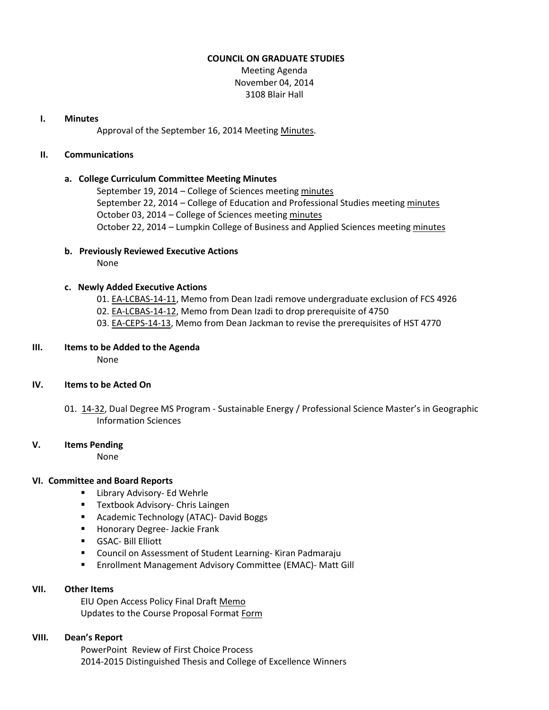### **COUNCIL ON GRADUATE STUDIES**

Meeting Agenda November 04, 2014 3108 Blair Hall

## **I. Minutes**

Approval of the September 16, 2014 Meeting [Minutes.](http://castle.eiu.edu/eiucgs/currentminutes/Minutes09-16-14.pdf)

# **II. Communications**

# **a. College Curriculum Committee Meeting Minutes**

September 19, 2014 - College of Sciences meetin[g minutes](http://castle.eiu.edu/~eiucgs/currentagendaitems/COSMin09-19-14.pdf) September 22, 2014 – College of Education and Professional Studies meeting [minutes](http://castle.eiu.edu/~eiucgs/currentagendaitems/CEPSMin09-22-14.pdf) October 03, 2014 – College of Sciences meeting [minutes](http://castle.eiu.edu/~eiucgs/currentagendaitems/COSMin10-03-14.pdf) October 22, 2014 – Lumpkin College of Business and Applied Sciences meetin[g minutes](http://castle.eiu.edu/~eiucgs/currentagendaitems/LCBASMin10-22-14.pdf)

**b. Previously Reviewed Executive Actions**

None

# **c. Newly Added Executive Actions**

- 01[. EA-LCBAS-14-11,](http://castle.eiu.edu/~eiucgs/exec-actions/EA-LCBAS-14-11.pdf) Memo from Dean Izadi remove undergraduate exclusion of FCS 4926
- 02[. EA-LCBAS-14-12,](http://castle.eiu.edu/~eiucgs/exec-actions/EA-LCBAS-14-12.pdf) Memo from Dean Izadi to drop prerequisite of 4750
- 03[. EA-CEPS-14-13,](http://castle.eiu.edu/~eiucgs/exec-actions/EA-CEPS-14-13.pdf) Memo from Dean Jackman to revise the prerequisites of HST 4770

# **III. Items to be Added to the Agenda**

None

# **IV. Items to be Acted On**

01. [14-32,](http://castle.eiu.edu/~eiucgs/currentagendaitems/agenda14-32.pdf) Dual Degree MS Program - Sustainable Energy / Professional Science Master's in Geographic Information Sciences

#### **V. Items Pending**

None

#### **VI. Committee and Board Reports**

- **E** Library Advisory- Ed Wehrle
- **Textbook Advisory- Chris Laingen**
- **Academic Technology (ATAC)- David Boggs**
- **Honorary Degree- Jackie Frank**
- GSAC- Bill Elliott
- Council on Assessment of Student Learning- Kiran Padmaraju
- **Enrollment Management Advisory Committee (EMAC)- Matt Gill**

### **VII. Other Items**

EIU Open Access Policy Final Draf[t Memo](http://castle.eiu.edu/~eiucgs/currentagendaitems/EIUPolicyDraft-final.pdf) Updates to the Course Proposal [Form](http://castle.eiu.edu/~eiucgs/currentagendaitems/Edits-Course-Proposal-Form-Directions.pdf)at Form

# **VIII. Dean's Report**

PowerPoint Review of First Choice Process 2014-2015 Distinguished Thesis and College of Excellence Winners